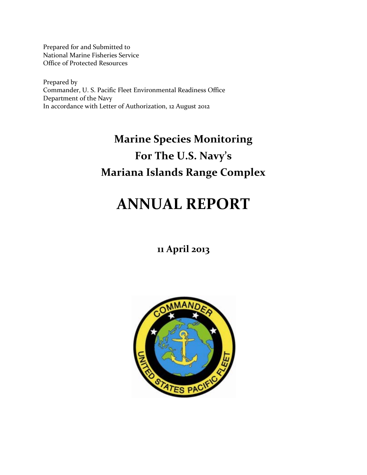Prepared for and Submitted to National Marine Fisheries Service Office of Protected Resources

Prepared by Commander, U. S. Pacific Fleet Environmental Readiness Office Department of the Navy In accordance with Letter of Authorization, 12 August 2012

# **Marine Species Monitoring For The U.S. Navy's Mariana Islands Range Complex**

# **ANNUAL REPORT**

## **11 April 2013**

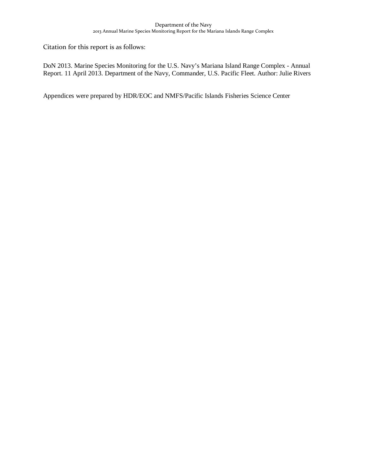Citation for this report is as follows:

DoN 2013. Marine Species Monitoring for the U.S. Navy's Mariana Island Range Complex - Annual Report. 11 April 2013. Department of the Navy, Commander, U.S. Pacific Fleet. Author: Julie Rivers

Appendices were prepared by HDR/EOC and NMFS/Pacific Islands Fisheries Science Center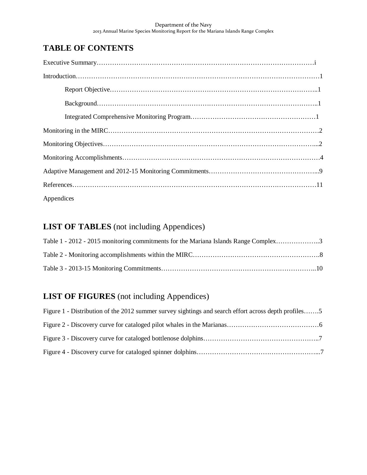### **TABLE OF CONTENTS**

| Appendices |
|------------|

### **LIST OF TABLES** (not including Appendices)

| Table 1 - 2012 - 2015 monitoring commitments for the Mariana Islands Range Complex3 |  |
|-------------------------------------------------------------------------------------|--|
|                                                                                     |  |
|                                                                                     |  |

### **LIST OF FIGURES** (not including Appendices)

| Figure 1 - Distribution of the 2012 summer survey sightings and search effort across depth profiles5 |  |
|------------------------------------------------------------------------------------------------------|--|
|                                                                                                      |  |
|                                                                                                      |  |
|                                                                                                      |  |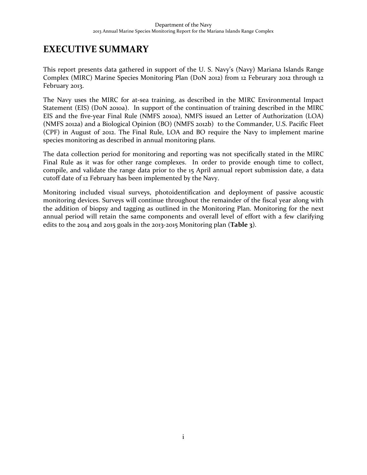## **EXECUTIVE SUMMARY**

This report presents data gathered in support of the U. S. Navy's (Navy) Mariana Islands Range Complex (MIRC) Marine Species Monitoring Plan (DoN 2012) from 12 Februrary 2012 through 12 February 2013.

The Navy uses the MIRC for at-sea training, as described in the MIRC Environmental Impact Statement (EIS) (DoN 2010a). In support of the continuation of training described in the MIRC EIS and the five-year Final Rule (NMFS 2010a), NMFS issued an Letter of Authorization (LOA) (NMFS 2012a) and a Biological Opinion (BO) (NMFS 2012b) to the Commander, U.S. Pacific Fleet (CPF) in August of 2012. The Final Rule, LOA and BO require the Navy to implement marine species monitoring as described in annual monitoring plans.

The data collection period for monitoring and reporting was not specifically stated in the MIRC Final Rule as it was for other range complexes. In order to provide enough time to collect, compile, and validate the range data prior to the 15 April annual report submission date, a data cutoff date of 12 February has been implemented by the Navy.

Monitoring included visual surveys, photoidentification and deployment of passive acoustic monitoring devices. Surveys will continue throughout the remainder of the fiscal year along with the addition of biopsy and tagging as outlined in the Monitoring Plan. Monitoring for the next annual period will retain the same components and overall level of effort with a few clarifying edits to the 2014 and 2015 goals in the 2013-2015 Monitoring plan (**Table 3**).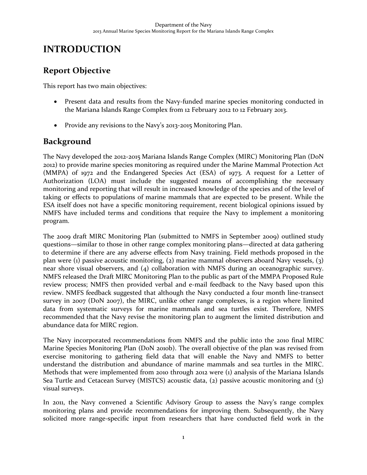## **INTRODUCTION**

### **Report Objective**

This report has two main objectives:

- Present data and results from the Navy-funded marine species monitoring conducted in the Mariana Islands Range Complex from 12 February 2012 to 12 February 2013.
- Provide any revisions to the Navy's 2013-2015 Monitoring Plan.

### **Background**

The Navy developed the 2012-2015 Mariana Islands Range Complex (MIRC) Monitoring Plan (DoN 2012) to provide marine species monitoring as required under the Marine Mammal Protection Act (MMPA) of 1972 and the Endangered Species Act (ESA) of 1973. A request for a Letter of Authorization (LOA) must include the suggested means of accomplishing the necessary monitoring and reporting that will result in increased knowledge of the species and of the level of taking or effects to populations of marine mammals that are expected to be present. While the ESA itself does not have a specific monitoring requirement, recent biological opinions issued by NMFS have included terms and conditions that require the Navy to implement a monitoring program.

The 2009 draft MIRC Monitoring Plan (submitted to NMFS in September 2009) outlined study questions—similar to those in other range complex monitoring plans—directed at data gathering to determine if there are any adverse effects from Navy training. Field methods proposed in the plan were (1) passive acoustic monitoring, (2) marine mammal observers aboard Navy vessels, (3) near shore visual observers, and (4) collaboration with NMFS during an oceanographic survey. NMFS released the Draft MIRC Monitoring Plan to the public as part of the MMPA Proposed Rule review process; NMFS then provided verbal and e-mail feedback to the Navy based upon this review. NMFS feedback suggested that although the Navy conducted a four month line-transect survey in 2007 (DoN 2007), the MIRC, unlike other range complexes, is a region where limited data from systematic surveys for marine mammals and sea turtles exist. Therefore, NMFS recommended that the Navy revise the monitoring plan to augment the limited distribution and abundance data for MIRC region.

The Navy incorporated recommendations from NMFS and the public into the 2010 final MIRC Marine Species Monitoring Plan (DoN 2010b). The overall objective of the plan was revised from exercise monitoring to gathering field data that will enable the Navy and NMFS to better understand the distribution and abundance of marine mammals and sea turtles in the MIRC. Methods that were implemented from 2010 through 2012 were (1) analysis of the Mariana Islands Sea Turtle and Cetacean Survey (MISTCS) acoustic data, (2) passive acoustic monitoring and (3) visual surveys.

In 2011, the Navy convened a Scientific Advisory Group to assess the Navy's range complex monitoring plans and provide recommendations for improving them. Subsequently, the Navy solicited more range-specific input from researchers that have conducted field work in the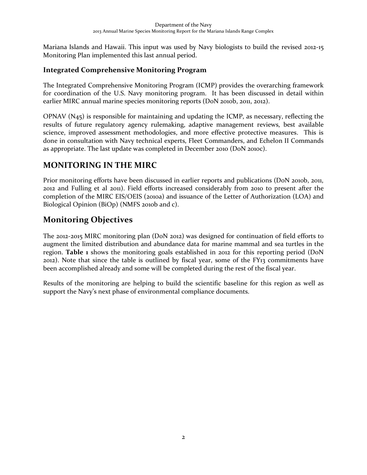Mariana Islands and Hawaii. This input was used by Navy biologists to build the revised 2012-15 Monitoring Plan implemented this last annual period.

### **Integrated Comprehensive Monitoring Program**

The Integrated Comprehensive Monitoring Program (ICMP) provides the overarching framework for coordination of the U.S. Navy monitoring program. It has been discussed in detail within earlier MIRC annual marine species monitoring reports (DoN 2010b, 2011, 2012).

OPNAV (N45) is responsible for maintaining and updating the ICMP, as necessary, reflecting the results of future regulatory agency rulemaking, adaptive management reviews, best available science, improved assessment methodologies, and more effective protective measures. This is done in consultation with Navy technical experts, Fleet Commanders, and Echelon II Commands as appropriate. The last update was completed in December 2010 (DoN 2010c).

### **MONITORING IN THE MIRC**

Prior monitoring efforts have been discussed in earlier reports and publications (DoN 2010b, 2011, 2012 and Fulling et al 2011). Field efforts increased considerably from 2010 to present after the completion of the MIRC EIS/OEIS (2010a) and issuance of the Letter of Authorization (LOA) and Biological Opinion (BiOp) (NMFS 2010b and c).

### **Monitoring Objectives**

The 2012-2015 MIRC monitoring plan (DoN 2012) was designed for continuation of field efforts to augment the limited distribution and abundance data for marine mammal and sea turtles in the region. **Table 1** shows the monitoring goals established in 2012 for this reporting period (DoN 2012). Note that since the table is outlined by fiscal year, some of the FY13 commitments have been accomplished already and some will be completed during the rest of the fiscal year.

Results of the monitoring are helping to build the scientific baseline for this region as well as support the Navy's next phase of environmental compliance documents.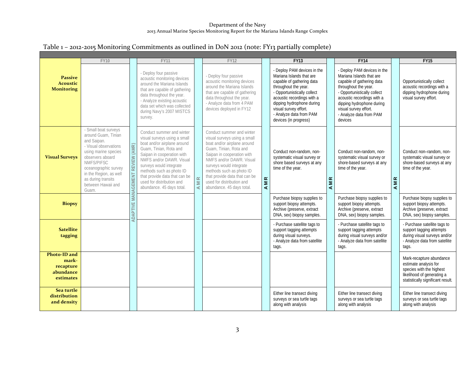### Table 1 – 2012-2015 Monitoring Commitments as outlined in DoN 2012 (note: FY13 partially complete)

|                                                              | <b>FY10</b>                                                                                                                                                                                                                                         |                                  | <b>FY11</b>                                                                                                                                                                                                                                                                                                                    |                                  | <b>FY12</b>                                                                                                                                                                                                                                                                                                                    |     | <b>FY13</b>                                                                                                                                                                                                                                                                         |                            | <b>FY14</b>                                                                                                                                                                                                                                                           |     | FY15                                                                                                                                             |
|--------------------------------------------------------------|-----------------------------------------------------------------------------------------------------------------------------------------------------------------------------------------------------------------------------------------------------|----------------------------------|--------------------------------------------------------------------------------------------------------------------------------------------------------------------------------------------------------------------------------------------------------------------------------------------------------------------------------|----------------------------------|--------------------------------------------------------------------------------------------------------------------------------------------------------------------------------------------------------------------------------------------------------------------------------------------------------------------------------|-----|-------------------------------------------------------------------------------------------------------------------------------------------------------------------------------------------------------------------------------------------------------------------------------------|----------------------------|-----------------------------------------------------------------------------------------------------------------------------------------------------------------------------------------------------------------------------------------------------------------------|-----|--------------------------------------------------------------------------------------------------------------------------------------------------|
| <b>Passive</b><br><b>Acoustic</b><br><b>Monitoring</b>       |                                                                                                                                                                                                                                                     |                                  | - Deploy four passive<br>acoustic monitoring devices<br>around the Mariana Islands<br>that are capable of gathering<br>data throughout the year.<br>- Analyze existing acoustic<br>data set which was collected<br>during Navy's 2007 MISTCS<br>survey.                                                                        |                                  | - Deploy four passive<br>acoustic monitoring devices<br>around the Mariana Islands<br>that are capable of gathering<br>data throughout the year.<br>- Analyze data from 4 PAM<br>devices deployed in FY12                                                                                                                      |     | - Deploy PAM devices in the<br>Mariana Islands that are<br>capable of gathering data<br>throughout the year.<br>- Opportunistically collect<br>acoustic recordings with a<br>dipping hydrophone during<br>visual survey effort.<br>- Analyze data from PAM<br>devices (in progress) |                            | - Deploy PAM devices in the<br>Mariana Islands that are<br>capable of gathering data<br>throughout the year.<br>- Opportunistically collect<br>acoustic recordings with a<br>dipping hydrophone during<br>visual survey effort.<br>- Analyze data from PAM<br>devices |     | Opportunistically collect<br>acoustic recordings with a<br>dipping hydrophone during<br>visual survey effort.                                    |
| <b>Visual Surveys</b>                                        | - Small boat surveys<br>around Guam, Tinian<br>and Saipan.<br>- Visual observations<br>using marine species<br>observers aboard<br>NMFS/PIFSC<br>oceanographic survey<br>in the Region, as well<br>as during transits<br>between Hawaii and<br>Guam | ADAPTIVE MANAGEMENT REVIEW (AMR) | Conduct summer and winter<br>visual surveys using a small<br>boat and/or airplane around<br>Guam, Tinian, Rota and<br>Saipan in cooperation with<br>NMFS and/or DAWR. Visual<br>surveys would integrate<br>methods such as photo ID<br>that provide data that can be<br>used for distribution and<br>abundance. 45 days total. | $\simeq$<br>$\overline{z}$<br>K. | Conduct summer and winter<br>visual surveys using a small<br>boat and/or airplane around<br>Guam, Tinian, Rota and<br>Saipan in cooperation with<br>NMFS and/or DAWR. Visual<br>surveys would integrate<br>methods such as photo ID<br>that provide data that can be<br>used for distribution and<br>abundance. 45 days total. | AMR | Conduct non-random, non-<br>systematic visual survey or<br>shore based surveys at any<br>time of the year.                                                                                                                                                                          | $\simeq$<br>$\overline{M}$ | Conduct non-random, non-<br>systematic visual survey or<br>shore-based surveys at any<br>time of the year.                                                                                                                                                            | AMR | Conduct non-random, non-<br>systematic visual survey or<br>shore-based surveys at any<br>time of the year.                                       |
| <b>Biopsy</b>                                                |                                                                                                                                                                                                                                                     |                                  |                                                                                                                                                                                                                                                                                                                                |                                  |                                                                                                                                                                                                                                                                                                                                |     | Purchase biopsy supplies to<br>support biopsy attempts.<br>Archive (preserve, extract<br>DNA, sex) biopsy samples.                                                                                                                                                                  |                            | Purchase biopsy supplies to<br>support biopsy attempts.<br>Archive (preserve, extract<br>DNA, sex) biopsy samples.                                                                                                                                                    |     | Purchase biopsy supplies to<br>support biopsy attempts.<br>Archive (preserve, extract<br>DNA, sex) biopsy samples.                               |
| <b>Satellite</b><br>tagging                                  |                                                                                                                                                                                                                                                     |                                  |                                                                                                                                                                                                                                                                                                                                |                                  |                                                                                                                                                                                                                                                                                                                                |     | - Purchase satellite tags to<br>support tagging attempts<br>during visual surveys.<br>- Analyze data from satellite<br>tags.                                                                                                                                                        |                            | - Purchase satellite tags to<br>support tagging attempts<br>during visual surveys and/or<br>- Analyze data from satellite<br>tags.                                                                                                                                    |     | - Purchase satellite tags to<br>support tagging attempts<br>during visual surveys and/or<br>- Analyze data from satellite<br>tags.               |
| Photo-ID and<br>mark-<br>recapture<br>abundance<br>estimates |                                                                                                                                                                                                                                                     |                                  |                                                                                                                                                                                                                                                                                                                                |                                  |                                                                                                                                                                                                                                                                                                                                |     |                                                                                                                                                                                                                                                                                     |                            |                                                                                                                                                                                                                                                                       |     | Mark-recapture abundance<br>estimate analysis for<br>species with the highest<br>likelihood of generating a<br>statistically significant result. |
| Sea turtle<br>distribution<br>and density                    |                                                                                                                                                                                                                                                     |                                  |                                                                                                                                                                                                                                                                                                                                |                                  |                                                                                                                                                                                                                                                                                                                                |     | Either line transect diving<br>surveys or sea turtle tags<br>along with analysis                                                                                                                                                                                                    |                            | Either line transect diving<br>surveys or sea turtle tags<br>along with analysis                                                                                                                                                                                      |     | Either line transect diving<br>surveys or sea turtle tags<br>along with analysis                                                                 |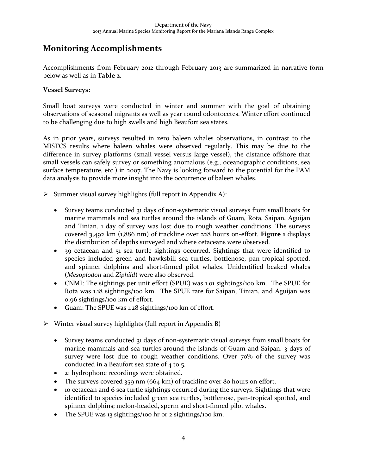### **Monitoring Accomplishments**

Accomplishments from February 2012 through February 2013 are summarized in narrative form below as well as in **Table 2**.

#### **Vessel Surveys:**

Small boat surveys were conducted in winter and summer with the goal of obtaining observations of seasonal migrants as well as year round odontocetes. Winter effort continued to be challenging due to high swells and high Beaufort sea states.

As in prior years, surveys resulted in zero baleen whales observations, in contrast to the MISTCS results where baleen whales were observed regularly. This may be due to the difference in survey platforms (small vessel versus large vessel), the distance offshore that small vessels can safely survey or something anomalous (e.g., oceanographic conditions, sea surface temperature, etc.) in 2007. The Navy is looking forward to the potential for the PAM data analysis to provide more insight into the occurrence of baleen whales.

- $\triangleright$  Summer visual survey highlights (full report in Appendix A):
	- Survey teams conducted 31 days of non-systematic visual surveys from small boats for marine mammals and sea turtles around the islands of Guam, Rota, Saipan, Aguijan and Tinian. 1 day of survey was lost due to rough weather conditions. The surveys covered 3,492 km (1,886 nm) of trackline over 228 hours on-effort. **Figure 1** displays the distribution of depths surveyed and where cetaceans were observed.
	- 39 cetacean and 51 sea turtle sightings occurred. Sightings that were identified to species included green and hawksbill sea turtles, bottlenose, pan-tropical spotted, and spinner dolphins and short-finned pilot whales. Unidentified beaked whales (*Mesoplodon* and *Ziphiid*) were also observed.
	- CNMI: The sightings per unit effort (SPUE) was 1.01 sightings/100 km. The SPUE for Rota was 1.18 sightings/100 km. The SPUE rate for Saipan, Tinian, and Aguijan was 0.96 sightings/100 km of effort.
	- Guam: The SPUE was 1.28 sightings/100 km of effort.
- $\triangleright$  Winter visual survey highlights (full report in Appendix B)
	- Survey teams conducted 31 days of non-systematic visual surveys from small boats for marine mammals and sea turtles around the islands of Guam and Saipan. 3 days of survey were lost due to rough weather conditions. Over 70% of the survey was conducted in a Beaufort sea state of 4 to 5.
	- 21 hydrophone recordings were obtained.
	- The surveys covered 359 nm (664 km) of trackline over 80 hours on effort.
	- 10 cetacean and 6 sea turtle sightings occurred during the surveys. Sightings that were identified to species included green sea turtles, bottlenose, pan-tropical spotted, and spinner dolphins; melon-headed, sperm and short-finned pilot whales.
	- The SPUE was 13 sightings/100 hr or 2 sightings/100 km.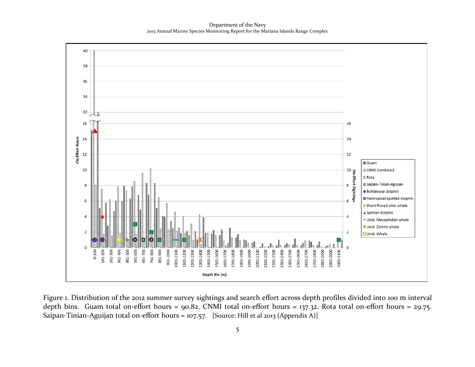Department of the Navy 2013 Annual Marine Species Monitoring Report for the Mariana Islands Range Complex



Figure 1. Distribution of the 2012 summer survey sightings and search effort across depth profiles divided into 100 m interval depth bins. Guam total on-effort hours = 90.82. CNMI total on-effort hours = 137.32. Rota total on-effort hours = 29.75. Saipan-Tinian-Aguijan total on-effort hours = 107.57. [Source: Hill et al 2013 (Appendix A)]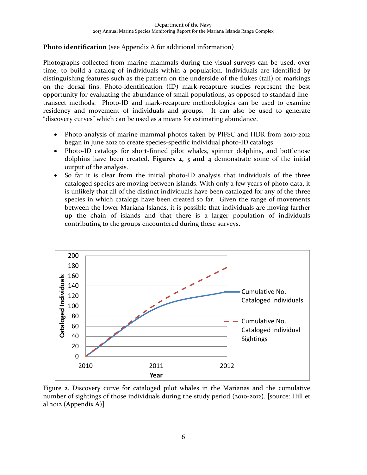#### **Photo identification** (see Appendix A for additional information)

Photographs collected from marine mammals during the visual surveys can be used, over time, to build a catalog of individuals within a population. Individuals are identified by distinguishing features such as the pattern on the underside of the flukes (tail) or markings on the dorsal fins. Photo-identification (ID) mark-recapture studies represent the best opportunity for evaluating the abundance of small populations, as opposed to standard linetransect methods. Photo-ID and mark-recapture methodologies can be used to examine residency and movement of individuals and groups. It can also be used to generate "discovery curves" which can be used as a means for estimating abundance.

- Photo analysis of marine mammal photos taken by PIFSC and HDR from 2010-2012 began in June 2012 to create species-specific individual photo-ID catalogs.
- Photo-ID catalogs for short-finned pilot whales, spinner dolphins, and bottlenose dolphins have been created. **Figures 2, 3 and 4** demonstrate some of the initial output of the analysis.
- So far it is clear from the initial photo-ID analysis that individuals of the three cataloged species are moving between islands. With only a few years of photo data, it is unlikely that all of the distinct individuals have been cataloged for any of the three species in which catalogs have been created so far. Given the range of movements between the lower Mariana Islands, it is possible that individuals are moving farther up the chain of islands and that there is a larger population of individuals contributing to the groups encountered during these surveys.



Figure 2. Discovery curve for cataloged pilot whales in the Marianas and the cumulative number of sightings of those individuals during the study period (2010-2012). [source: Hill et al 2012 (Appendix A)]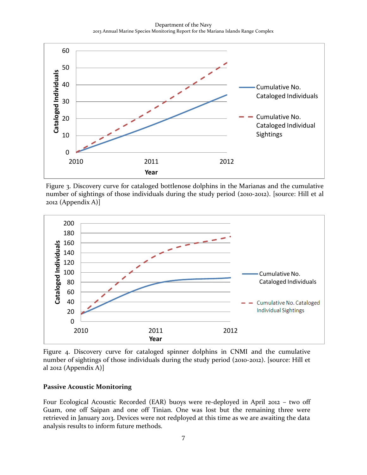Department of the Navy 2013 Annual Marine Species Monitoring Report for the Mariana Islands Range Complex



Figure 3. Discovery curve for cataloged bottlenose dolphins in the Marianas and the cumulative number of sightings of those individuals during the study period (2010-2012). [source: Hill et al 2012 (Appendix A)]



Figure 4. Discovery curve for cataloged spinner dolphins in CNMI and the cumulative number of sightings of those individuals during the study period (2010-2012). [source: Hill et al 2012 (Appendix A)]

#### **Passive Acoustic Monitoring**

Four Ecological Acoustic Recorded (EAR) buoys were re-deployed in April 2012 – two off Guam, one off Saipan and one off Tinian. One was lost but the remaining three were retrieved in January 2013. Devices were not redployed at this time as we are awaiting the data analysis results to inform future methods.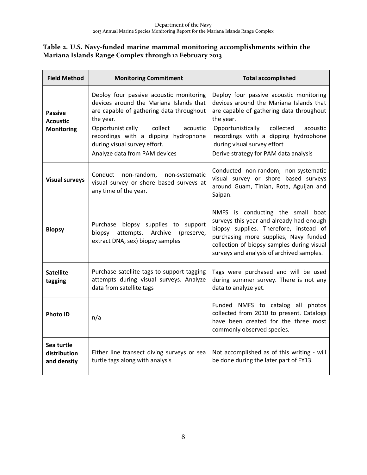### **Table 2. U.S. Navy-funded marine mammal monitoring accomplishments within the Mariana Islands Range Complex through 12 February 2013**

| <b>Field Method</b>                                    | <b>Monitoring Commitment</b>                                                                                                                                                                                                                                                                     | <b>Total accomplished</b>                                                                                                                                                                                                                                                                                 |  |  |  |  |  |
|--------------------------------------------------------|--------------------------------------------------------------------------------------------------------------------------------------------------------------------------------------------------------------------------------------------------------------------------------------------------|-----------------------------------------------------------------------------------------------------------------------------------------------------------------------------------------------------------------------------------------------------------------------------------------------------------|--|--|--|--|--|
| <b>Passive</b><br><b>Acoustic</b><br><b>Monitoring</b> | Deploy four passive acoustic monitoring<br>devices around the Mariana Islands that<br>are capable of gathering data throughout<br>the year.<br>collect<br>Opportunistically<br>acoustic<br>recordings with a dipping hydrophone<br>during visual survey effort.<br>Analyze data from PAM devices | Deploy four passive acoustic monitoring<br>devices around the Mariana Islands that<br>are capable of gathering data throughout<br>the year.<br>Opportunistically<br>collected<br>acoustic<br>recordings with a dipping hydrophone<br>during visual survey effort<br>Derive strategy for PAM data analysis |  |  |  |  |  |
| <b>Visual surveys</b>                                  | Conduct non-random, non-systematic<br>visual survey or shore based surveys at<br>any time of the year.                                                                                                                                                                                           | Conducted non-random, non-systematic<br>visual survey or shore based surveys<br>around Guam, Tinian, Rota, Aguijan and<br>Saipan.                                                                                                                                                                         |  |  |  |  |  |
| <b>Biopsy</b>                                          | Purchase biopsy supplies to support<br>attempts. Archive (preserve,<br>biopsy<br>extract DNA, sex) biopsy samples                                                                                                                                                                                | NMFS is conducting the small boat<br>surveys this year and already had enough<br>biopsy supplies. Therefore, instead of<br>purchasing more supplies, Navy funded<br>collection of biopsy samples during visual<br>surveys and analysis of archived samples.                                               |  |  |  |  |  |
| <b>Satellite</b><br>tagging                            | Purchase satellite tags to support tagging<br>attempts during visual surveys. Analyze<br>data from satellite tags                                                                                                                                                                                | Tags were purchased and will be used<br>during summer survey. There is not any<br>data to analyze yet.                                                                                                                                                                                                    |  |  |  |  |  |
| <b>Photo ID</b>                                        | n/a                                                                                                                                                                                                                                                                                              | Funded NMFS to catalog all photos<br>collected from 2010 to present. Catalogs<br>have been created for the three most<br>commonly observed species.                                                                                                                                                       |  |  |  |  |  |
| Sea turtle<br>distribution<br>and density              | Either line transect diving surveys or sea<br>turtle tags along with analysis                                                                                                                                                                                                                    | Not accomplished as of this writing - will<br>be done during the later part of FY13.                                                                                                                                                                                                                      |  |  |  |  |  |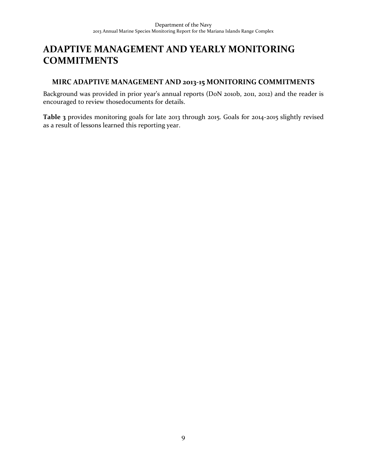## **ADAPTIVE MANAGEMENT AND YEARLY MONITORING COMMITMENTS**

### **MIRC ADAPTIVE MANAGEMENT AND 2013-15 MONITORING COMMITMENTS**

Background was provided in prior year's annual reports (DoN 2010b, 2011, 2012) and the reader is encouraged to review thosedocuments for details.

**Table 3** provides monitoring goals for late 2013 through 2015. Goals for 2014-2015 slightly revised as a result of lessons learned this reporting year.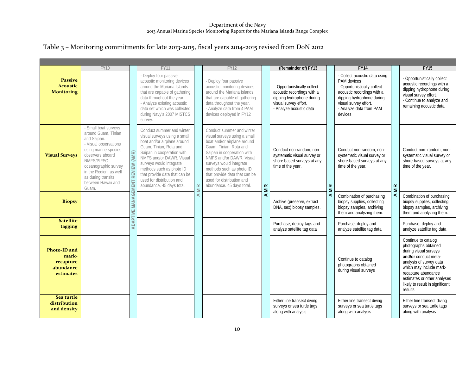### Table 3 – Monitoring commitments for late 2013-2015, fiscal years 2014-2015 revised from DoN 2012

|                                                              | <b>FY10</b>                                                                                                                                                                                                                                          |                         | <b>FY11</b>                                                                                                                                                                                                                                                                                                                    |           | <b>FY12</b>                                                                                                                                                                                                                                                                                                                    |            | (Remainder of) FY13                                                                                                                      |                | FY14                                                                                                                                                                                                  |    | FY15                                                                                                                                                                                                                                                   |
|--------------------------------------------------------------|------------------------------------------------------------------------------------------------------------------------------------------------------------------------------------------------------------------------------------------------------|-------------------------|--------------------------------------------------------------------------------------------------------------------------------------------------------------------------------------------------------------------------------------------------------------------------------------------------------------------------------|-----------|--------------------------------------------------------------------------------------------------------------------------------------------------------------------------------------------------------------------------------------------------------------------------------------------------------------------------------|------------|------------------------------------------------------------------------------------------------------------------------------------------|----------------|-------------------------------------------------------------------------------------------------------------------------------------------------------------------------------------------------------|----|--------------------------------------------------------------------------------------------------------------------------------------------------------------------------------------------------------------------------------------------------------|
| <b>Passive</b><br><b>Acoustic</b><br><b>Monitoring</b>       |                                                                                                                                                                                                                                                      |                         | - Deploy four passive<br>acoustic monitoring devices<br>around the Mariana Islands<br>that are capable of gathering<br>data throughout the year.<br>- Analyze existing acoustic<br>data set which was collected<br>during Navy's 2007 MISTCS<br>survey.                                                                        |           | - Deploy four passive<br>acoustic monitoring devices<br>around the Mariana Islands<br>that are capable of gathering<br>data throughout the year.<br>- Analyze data from 4 PAM<br>devices deployed in FY12                                                                                                                      |            | Opportunistically collect<br>acoustic recordings with a<br>dipping hydrophone during<br>visual survey effort.<br>- Analyze acoustic data |                | - Collect acoustic data using<br>PAM devices<br>- Opportunistically collect<br>acoustic recordings with a<br>dipping hydrophone during<br>visual survey effort.<br>- Analyze data from PAM<br>devices |    | - Opportunistically collect<br>acoustic recordings with a<br>dipping hydrophone during<br>visual survey effort.<br>- Continue to analyze and<br>remaining acoustic data                                                                                |
| <b>Visual Surveys</b>                                        | - Small boat surveys<br>around Guam, Tinian<br>and Saipan.<br>- Visual observations<br>using marine species<br>observers aboard<br>NMFS/PIFSC<br>oceanographic survey<br>in the Region, as well<br>as during transits<br>between Hawaii and<br>Guam. | MANAGEMENT REVIEW (AMR) | Conduct summer and winter<br>visual surveys using a small<br>boat and/or airplane around<br>Guam, Tinian, Rota and<br>Saipan in cooperation with<br>NMFS and/or DAWR, Visual<br>surveys would integrate<br>methods such as photo ID<br>that provide data that can be<br>used for distribution and<br>abundance. 45 days total. | <b>MR</b> | Conduct summer and winter<br>visual surveys using a small<br>boat and/or airplane around<br>Guam, Tinian, Rota and<br>Saipan in cooperation with<br>NMFS and/or DAWR. Visual<br>surveys would integrate<br>methods such as photo ID<br>that provide data that can be<br>used for distribution and<br>abundance. 45 days total. | <b>AMR</b> | Conduct non-random, non-<br>systematic visual survey or<br>shore based surveys at any<br>time of the year.                               | $\mathbf{M}$ R | Conduct non-random, non-<br>systematic visual survey or<br>shore-based surveys at any<br>time of the year.                                                                                            | MR | Conduct non-random, non-<br>systematic visual survey or<br>shore-based surveys at any<br>time of the year.                                                                                                                                             |
| <b>Biopsy</b>                                                |                                                                                                                                                                                                                                                      |                         |                                                                                                                                                                                                                                                                                                                                | ∢         |                                                                                                                                                                                                                                                                                                                                |            | Archive (preserve, extract<br>DNA, sex) biopsy samples.                                                                                  | ∢              | Combination of purchasing<br>biopsy supplies, collecting<br>biopsy samples, archiving<br>them and analyzing them.                                                                                     | ⋖  | Combination of purchasing<br>biopsy supplies, collecting<br>biopsy samples, archiving<br>them and analyzing them.                                                                                                                                      |
| <b>Satellite</b><br>tagging                                  |                                                                                                                                                                                                                                                      | ADAPTIVE                |                                                                                                                                                                                                                                                                                                                                |           |                                                                                                                                                                                                                                                                                                                                |            | Purchase, deploy tags and<br>analyze satellite tag data                                                                                  |                | Purchase, deploy and<br>analyze satellite tag data                                                                                                                                                    |    | Purchase, deploy and<br>analyze satellite tag data                                                                                                                                                                                                     |
| Photo-ID and<br>mark-<br>recapture<br>abundance<br>estimates |                                                                                                                                                                                                                                                      |                         |                                                                                                                                                                                                                                                                                                                                |           |                                                                                                                                                                                                                                                                                                                                |            |                                                                                                                                          |                | Continue to catalog<br>photographs obtained<br>during visual surveys                                                                                                                                  |    | Continue to catalog<br>photographs obtained<br>during visual surveys<br>and/or conduct meta-<br>analysis of survey data<br>which may include mark-<br>recapture abundance<br>estimates or other analyses<br>likely to result in significant<br>results |
| Sea turtle<br>distribution<br>and density                    |                                                                                                                                                                                                                                                      |                         |                                                                                                                                                                                                                                                                                                                                |           |                                                                                                                                                                                                                                                                                                                                |            | Either line transect diving<br>surveys or sea turtle tags<br>along with analysis                                                         |                | Either line transect diving<br>surveys or sea turtle tags<br>along with analysis                                                                                                                      |    | Either line transect diving<br>surveys or sea turtle tags<br>along with analysis                                                                                                                                                                       |